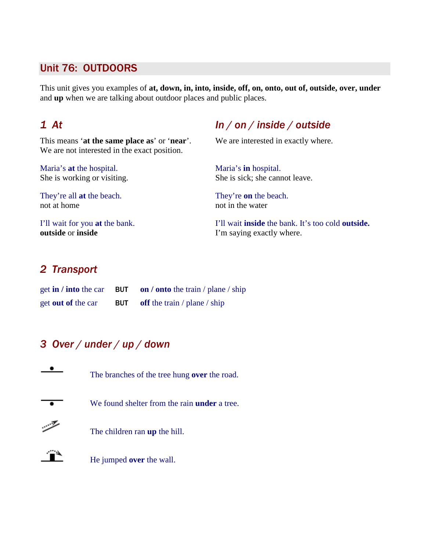#### Unit 76: OUTDOORS

This unit gives you examples of **at, down, in, into, inside, off, on, onto, out of, outside, over, under**  and **up** when we are talking about outdoor places and public places.

This means '**at the same place as**' or '**near**'. We are interested in exactly where. We are not interested in the exact position.

Maria's **at** the hospital. Maria's **in** hospital.

They're all **at** the beach. They're **on** the beach. not at home not in the water

**outside** or **inside** I'm saying exactly where.

# 1 At  $ln / on / inside / outside$

She is working or visiting. She is sick; she cannot leave.

I'll wait for you **at** the bank. I'll wait **inside** the bank. It's too cold **outside.**

### 2 Transport

| get in / into the car     | <b>BUT</b> on / onto the train / plane / ship |
|---------------------------|-----------------------------------------------|
| get <b>out of</b> the car | <b>BUT</b> off the train / plane / ship       |

# 3 Over / under / up / down





He jumped **over** the wall.